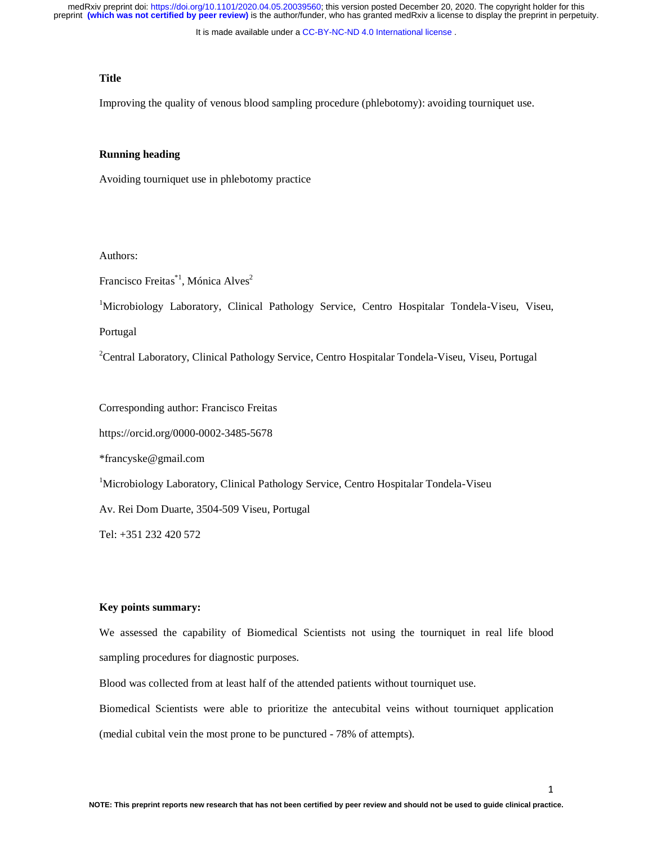It is made available under a CC-BY-NC-ND 4.0 International license.

# **Title**

Improving the quality of venous blood sampling procedure (phlebotomy): avoiding tourniquet use.

#### **Running heading**

Avoiding tourniquet use in phlebotomy practice

Authors:

Francisco Freitas<sup>\*1</sup>, Mónica Alves<sup>2</sup>

<sup>1</sup>Microbiology Laboratory, Clinical Pathology Service, Centro Hospitalar Tondela-Viseu, Viseu,

Portugal

<sup>2</sup> Central Laboratory, Clinical Pathology Service, Centro Hospitalar Tondela-Viseu, Viseu, Portugal

Corresponding author: Francisco Freitas

https://orcid.org/0000-0002-3485-5678

\*francyske@gmail.com

<sup>1</sup>Microbiology Laboratory, Clinical Pathology Service, Centro Hospitalar Tondela-Viseu

Av. Rei Dom Duarte, 3504-509 Viseu, Portugal

Tel: +351 232 420 572

#### **Key points summary:**

We assessed the capability of Biomedical Scientists not using the tourniquet in real life blood sampling procedures for diagnostic purposes.

Blood was collected from at least half of the attended patients without tourniquet use.

Biomedical Scientists were able to prioritize the antecubital veins without tourniquet application (medial cubital vein the most prone to be punctured - 78% of attempts).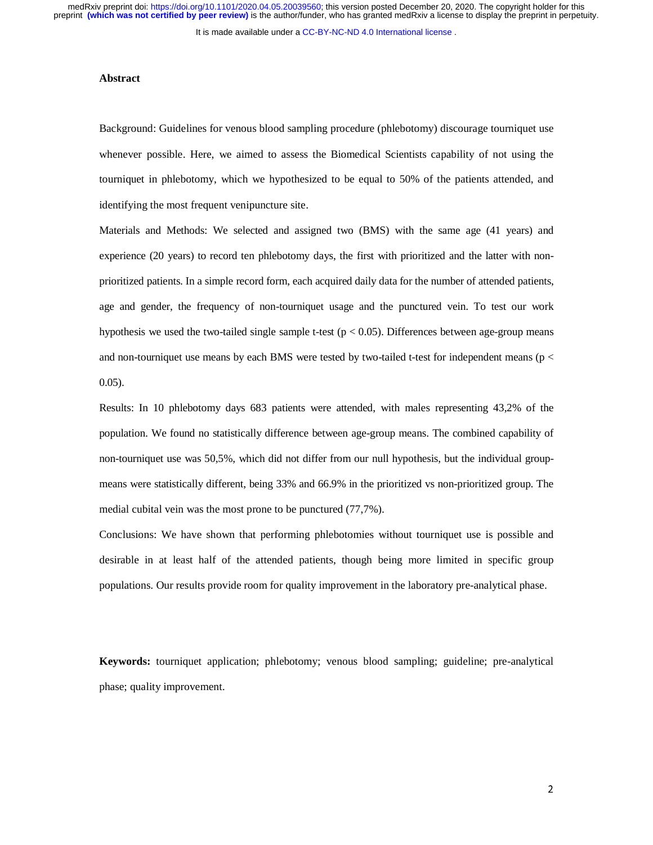It is made available under a CC-BY-NC-ND 4.0 International license.

#### **Abstract**

Background: Guidelines for venous blood sampling procedure (phlebotomy) discourage tourniquet use whenever possible. Here, we aimed to assess the Biomedical Scientists capability of not using the tourniquet in phlebotomy, which we hypothesized to be equal to 50% of the patients attended, and identifying the most frequent venipuncture site.

Materials and Methods: We selected and assigned two (BMS) with the same age (41 years) and experience (20 years) to record ten phlebotomy days, the first with prioritized and the latter with nonprioritized patients. In a simple record form, each acquired daily data for the number of attended patients, age and gender, the frequency of non-tourniquet usage and the punctured vein. To test our work hypothesis we used the two-tailed single sample t-test ( $p < 0.05$ ). Differences between age-group means and non-tourniquet use means by each BMS were tested by two-tailed t-test for independent means ( $p <$ 0.05).

Results: In 10 phlebotomy days 683 patients were attended, with males representing 43,2% of the population. We found no statistically difference between age-group means. The combined capability of non-tourniquet use was 50,5%, which did not differ from our null hypothesis, but the individual groupmeans were statistically different, being 33% and 66.9% in the prioritized vs non-prioritized group. The medial cubital vein was the most prone to be punctured (77,7%).

Conclusions: We have shown that performing phlebotomies without tourniquet use is possible and desirable in at least half of the attended patients, though being more limited in specific group populations. Our results provide room for quality improvement in the laboratory pre-analytical phase.

**Keywords:** tourniquet application; phlebotomy; venous blood sampling; guideline; pre-analytical phase; quality improvement.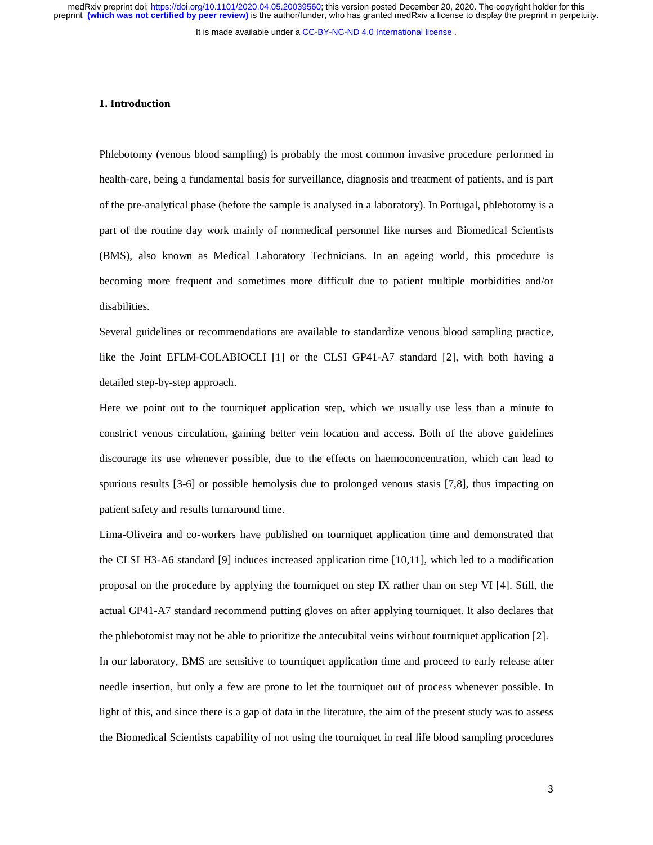It is made available under a CC-BY-NC-ND 4.0 International license.

#### **1. Introduction**

Phlebotomy (venous blood sampling) is probably the most common invasive procedure performed in health-care, being a fundamental basis for surveillance, diagnosis and treatment of patients, and is part of the pre-analytical phase (before the sample is analysed in a laboratory). In Portugal, phlebotomy is a part of the routine day work mainly of nonmedical personnel like nurses and Biomedical Scientists (BMS), also known as Medical Laboratory Technicians. In an ageing world, this procedure is becoming more frequent and sometimes more difficult due to patient multiple morbidities and/or disabilities.

Several guidelines or recommendations are available to standardize venous blood sampling practice, like the Joint EFLM-COLABIOCLI [1] or the CLSI GP41-A7 standard [2], with both having a detailed step-by-step approach.

Here we point out to the tourniquet application step, which we usually use less than a minute to constrict venous circulation, gaining better vein location and access. Both of the above guidelines discourage its use whenever possible, due to the effects on haemoconcentration, which can lead to spurious results [3-6] or possible hemolysis due to prolonged venous stasis [7,8], thus impacting on patient safety and results turnaround time.

Lima-Oliveira and co-workers have published on tourniquet application time and demonstrated that the CLSI H3-A6 standard [9] induces increased application time [10,11], which led to a modification proposal on the procedure by applying the tourniquet on step IX rather than on step VI [4]. Still, the actual GP41-A7 standard recommend putting gloves on after applying tourniquet. It also declares that the phlebotomist may not be able to prioritize the antecubital veins without tourniquet application [2]. In our laboratory, BMS are sensitive to tourniquet application time and proceed to early release after needle insertion, but only a few are prone to let the tourniquet out of process whenever possible. In light of this, and since there is a gap of data in the literature, the aim of the present study was to assess the Biomedical Scientists capability of not using the tourniquet in real life blood sampling procedures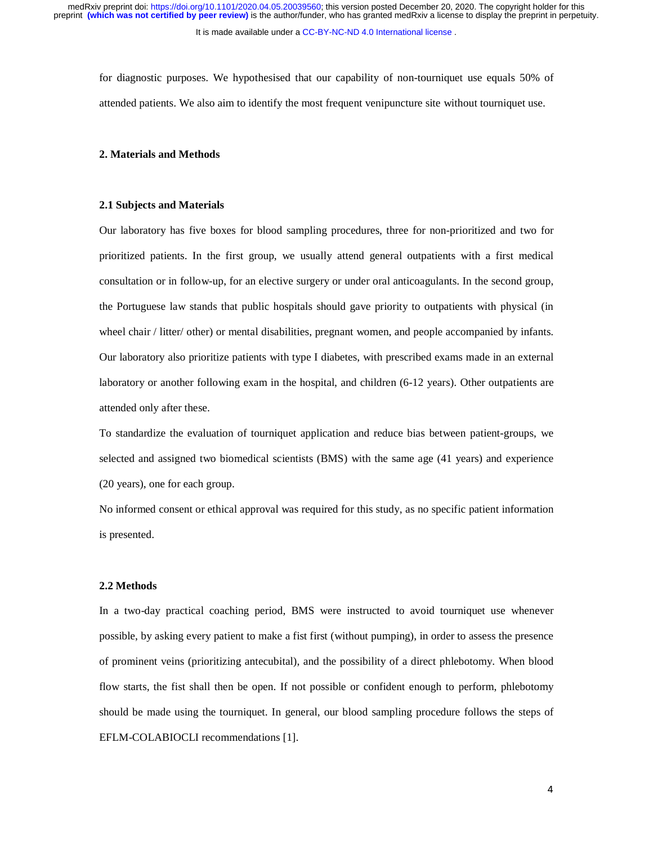It is made available under a CC-BY-NC-ND 4.0 International license.

for diagnostic purposes. We hypothesised that our capability of non-tourniquet use equals 50% of attended patients. We also aim to identify the most frequent venipuncture site without tourniquet use.

#### **2. Materials and Methods**

#### **2.1 Subjects and Materials**

Our laboratory has five boxes for blood sampling procedures, three for non-prioritized and two for prioritized patients. In the first group, we usually attend general outpatients with a first medical consultation or in follow-up, for an elective surgery or under oral anticoagulants. In the second group, the Portuguese law stands that public hospitals should gave priority to outpatients with physical (in wheel chair / litter/ other) or mental disabilities, pregnant women, and people accompanied by infants. Our laboratory also prioritize patients with type I diabetes, with prescribed exams made in an external laboratory or another following exam in the hospital, and children (6-12 years). Other outpatients are attended only after these.

To standardize the evaluation of tourniquet application and reduce bias between patient-groups, we selected and assigned two biomedical scientists (BMS) with the same age (41 years) and experience (20 years), one for each group.

No informed consent or ethical approval was required for this study, as no specific patient information is presented.

### **2.2 Methods**

In a two-day practical coaching period, BMS were instructed to avoid tourniquet use whenever possible, by asking every patient to make a fist first (without pumping), in order to assess the presence of prominent veins (prioritizing antecubital), and the possibility of a direct phlebotomy. When blood flow starts, the fist shall then be open. If not possible or confident enough to perform, phlebotomy should be made using the tourniquet. In general, our blood sampling procedure follows the steps of EFLM-COLABIOCLI recommendations [1].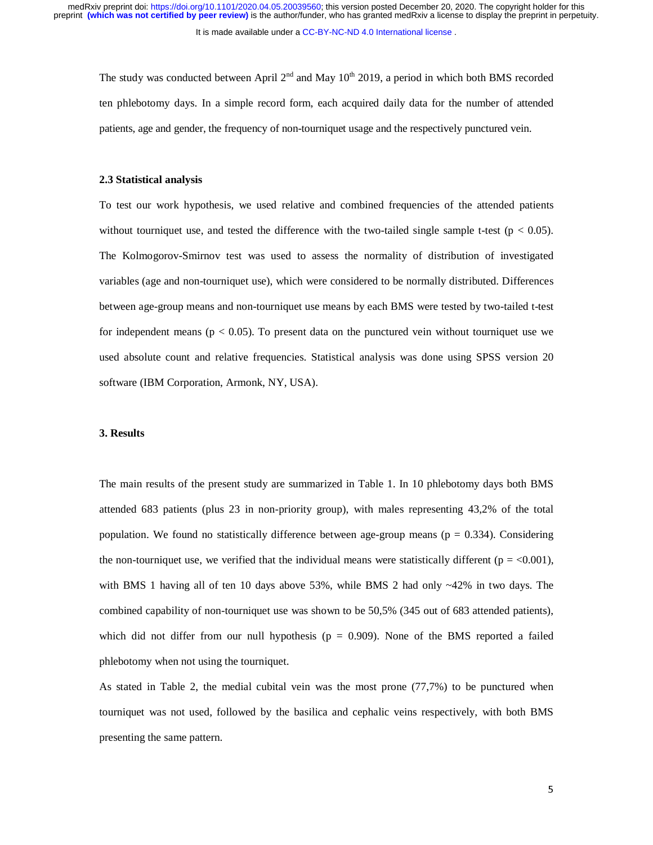It is made available under a CC-BY-NC-ND 4.0 International license.

The study was conducted between April  $2<sup>nd</sup>$  and May 10<sup>th</sup> 2019, a period in which both BMS recorded ten phlebotomy days. In a simple record form, each acquired daily data for the number of attended patients, age and gender, the frequency of non-tourniquet usage and the respectively punctured vein.

## **2.3 Statistical analysis**

To test our work hypothesis, we used relative and combined frequencies of the attended patients without tourniquet use, and tested the difference with the two-tailed single sample t-test ( $p < 0.05$ ). The Kolmogorov-Smirnov test was used to assess the normality of distribution of investigated variables (age and non-tourniquet use), which were considered to be normally distributed. Differences between age-group means and non-tourniquet use means by each BMS were tested by two-tailed t-test for independent means  $(p < 0.05)$ . To present data on the punctured vein without tourniquet use we used absolute count and relative frequencies. Statistical analysis was done using SPSS version 20 software (IBM Corporation, Armonk, NY, USA).

## **3. Results**

The main results of the present study are summarized in Table 1. In 10 phlebotomy days both BMS attended 683 patients (plus 23 in non-priority group), with males representing 43,2% of the total population. We found no statistically difference between age-group means ( $p = 0.334$ ). Considering the non-tourniquet use, we verified that the individual means were statistically different ( $p = <0.001$ ), with BMS 1 having all of ten 10 days above 53%, while BMS 2 had only ~42% in two days. The combined capability of non-tourniquet use was shown to be 50,5% (345 out of 683 attended patients), which did not differ from our null hypothesis ( $p = 0.909$ ). None of the BMS reported a failed phlebotomy when not using the tourniquet.

As stated in Table 2, the medial cubital vein was the most prone (77,7%) to be punctured when tourniquet was not used, followed by the basilica and cephalic veins respectively, with both BMS presenting the same pattern.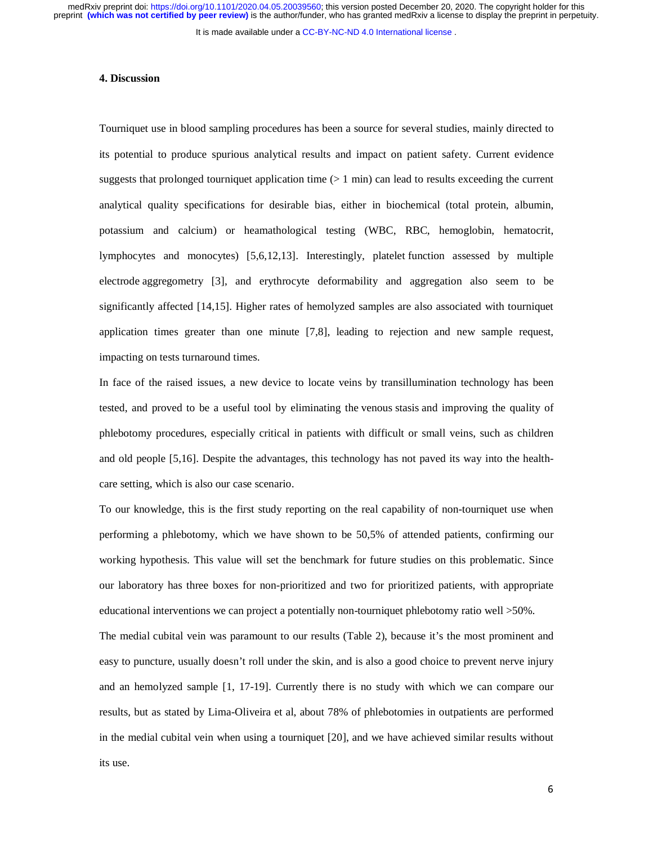It is made available under a CC-BY-NC-ND 4.0 International license.

## **4. Discussion**

Tourniquet use in blood sampling procedures has been a source for several studies, mainly directed to its potential to produce spurious analytical results and impact on patient safety. Current evidence suggests that prolonged tourniquet application time  $(> 1 \text{ min})$  can lead to results exceeding the current analytical quality specifications for desirable bias, either in biochemical (total protein, albumin, potassium and calcium) or heamathological testing (WBC, RBC, hemoglobin, hematocrit, lymphocytes and monocytes) [5,6,12,13]. Interestingly, platelet function assessed by multiple electrode aggregometry [3], and erythrocyte deformability and aggregation also seem to be significantly affected [14,15]. Higher rates of hemolyzed samples are also associated with tourniquet application times greater than one minute [7,8], leading to rejection and new sample request, impacting on tests turnaround times.

In face of the raised issues, a new device to locate veins by transillumination technology has been tested, and proved to be a useful tool by eliminating the venous stasis and improving the quality of phlebotomy procedures, especially critical in patients with difficult or small veins, such as children and old people [5,16]. Despite the advantages, this technology has not paved its way into the healthcare setting, which is also our case scenario.

To our knowledge, this is the first study reporting on the real capability of non-tourniquet use when performing a phlebotomy, which we have shown to be 50,5% of attended patients, confirming our working hypothesis. This value will set the benchmark for future studies on this problematic. Since our laboratory has three boxes for non-prioritized and two for prioritized patients, with appropriate educational interventions we can project a potentially non-tourniquet phlebotomy ratio well >50%.

The medial cubital vein was paramount to our results (Table 2), because it's the most prominent and easy to puncture, usually doesn't roll under the skin, and is also a good choice to prevent nerve injury and an hemolyzed sample [1, 17-19]. Currently there is no study with which we can compare our results, but as stated by Lima-Oliveira et al, about 78% of phlebotomies in outpatients are performed in the medial cubital vein when using a tourniquet [20], and we have achieved similar results without its use.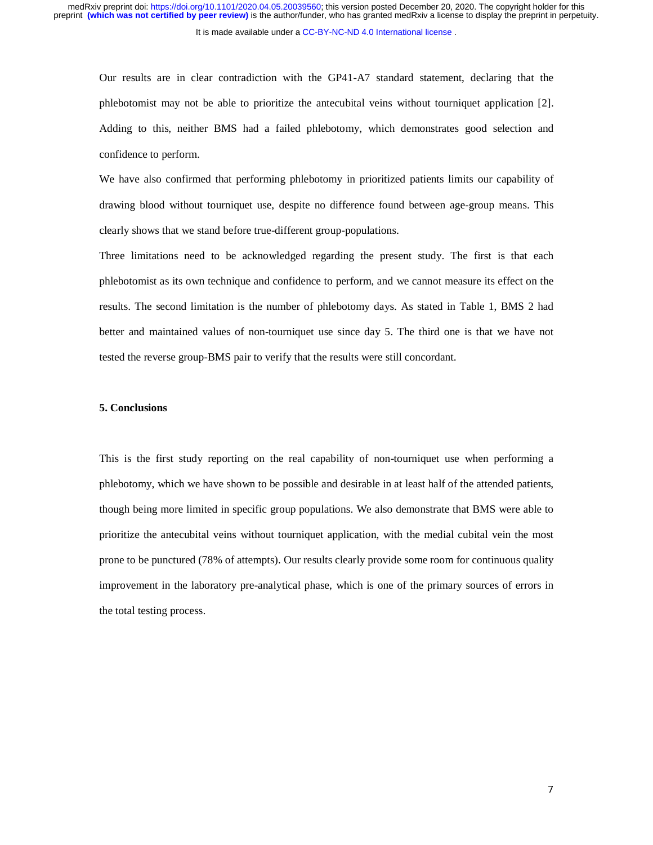It is made available under a CC-BY-NC-ND 4.0 International license.

Our results are in clear contradiction with the GP41-A7 standard statement, declaring that the phlebotomist may not be able to prioritize the antecubital veins without tourniquet application [2]. Adding to this, neither BMS had a failed phlebotomy, which demonstrates good selection and confidence to perform.

We have also confirmed that performing phlebotomy in prioritized patients limits our capability of drawing blood without tourniquet use, despite no difference found between age-group means. This clearly shows that we stand before true-different group-populations.

Three limitations need to be acknowledged regarding the present study. The first is that each phlebotomist as its own technique and confidence to perform, and we cannot measure its effect on the results. The second limitation is the number of phlebotomy days. As stated in Table 1, BMS 2 had better and maintained values of non-tourniquet use since day 5. The third one is that we have not tested the reverse group-BMS pair to verify that the results were still concordant.

#### **5. Conclusions**

This is the first study reporting on the real capability of non-tourniquet use when performing a phlebotomy, which we have shown to be possible and desirable in at least half of the attended patients, though being more limited in specific group populations. We also demonstrate that BMS were able to prioritize the antecubital veins without tourniquet application, with the medial cubital vein the most prone to be punctured (78% of attempts). Our results clearly provide some room for continuous quality improvement in the laboratory pre-analytical phase, which is one of the primary sources of errors in the total testing process.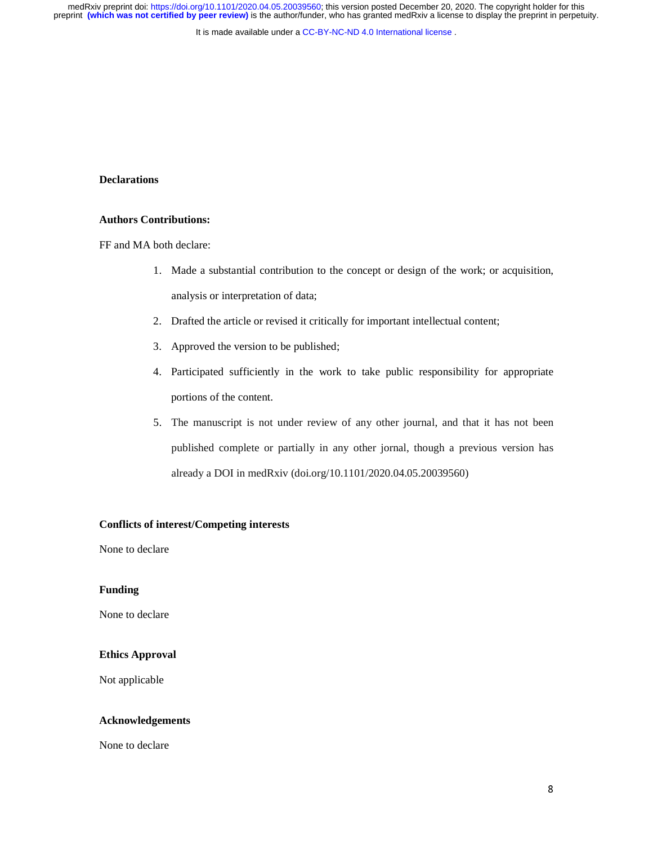It is made available under a CC-BY-NC-ND 4.0 International license.

# **Declarations**

## **Authors Contributions:**

FF and MA both declare:

- 1. Made a substantial contribution to the concept or design of the work; or acquisition, analysis or interpretation of data;
- 2. Drafted the article or revised it critically for important intellectual content;
- 3. Approved the version to be published;
- 4. Participated sufficiently in the work to take public responsibility for appropriate portions of the content.
- 5. The manuscript is not under review of any other journal, and that it has not been published complete or partially in any other jornal, though a previous version has already a DOI in medRxiv (doi.org/10.1101/2020.04.05.20039560)

# **Conflicts of interest/Competing interests**

None to declare

# **Funding**

None to declare

# **Ethics Approval**

Not applicable

# **Acknowledgements**

None to declare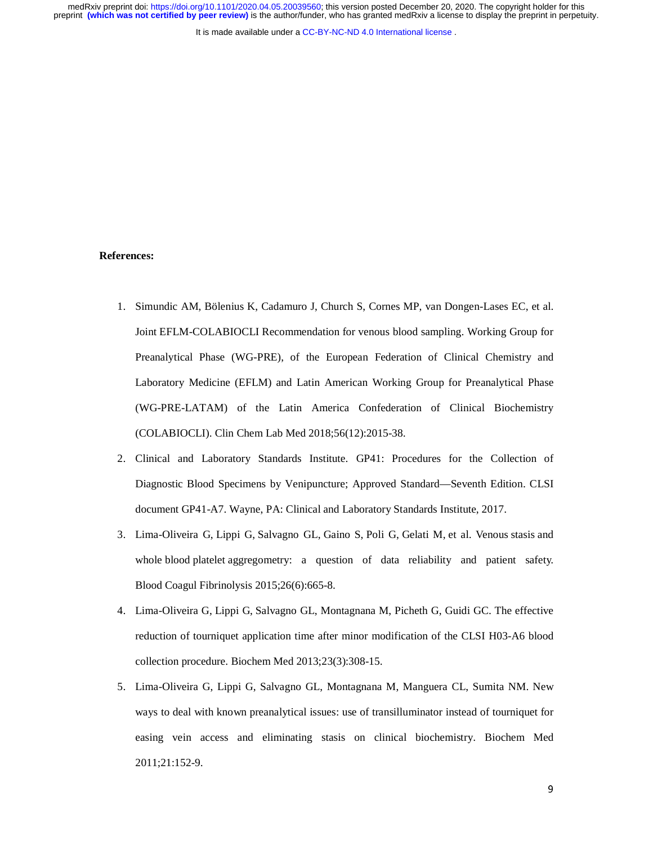It is made available under a CC-BY-NC-ND 4.0 International license.

## **References:**

- 1. Simundic AM, Bölenius K, Cadamuro J, Church S, Cornes MP, van Dongen-Lases EC, et al. Joint EFLM-COLABIOCLI Recommendation for venous blood sampling. Working Group for Preanalytical Phase (WG-PRE), of the European Federation of Clinical Chemistry and Laboratory Medicine (EFLM) and Latin American Working Group for Preanalytical Phase (WG-PRE-LATAM) of the Latin America Confederation of Clinical Biochemistry (COLABIOCLI). Clin Chem Lab Med 2018;56(12):2015-38.
- 2. Clinical and Laboratory Standards Institute. GP41: Procedures for the Collection of Diagnostic Blood Specimens by Venipuncture; Approved Standard—Seventh Edition. CLSI document GP41-A7. Wayne, PA: Clinical and Laboratory Standards Institute, 2017.
- 3. Lima-Oliveira G, Lippi G, Salvagno GL, Gaino S, Poli G, Gelati M, et al. Venous stasis and whole blood platelet aggregometry: a question of data reliability and patient safety. Blood Coagul Fibrinolysis 2015;26(6):665-8.
- 4. Lima-Oliveira G, Lippi G, Salvagno GL, Montagnana M, Picheth G, Guidi GC. The effective reduction of tourniquet application time after minor modification of the CLSI H03-A6 blood collection procedure. Biochem Med 2013;23(3):308-15.
- 5. Lima-Oliveira G, Lippi G, Salvagno GL, Montagnana M, Manguera CL, Sumita NM. New ways to deal with known preanalytical issues: use of transilluminator instead of tourniquet for easing vein access and eliminating stasis on clinical biochemistry. Biochem Med 2011;21:152-9.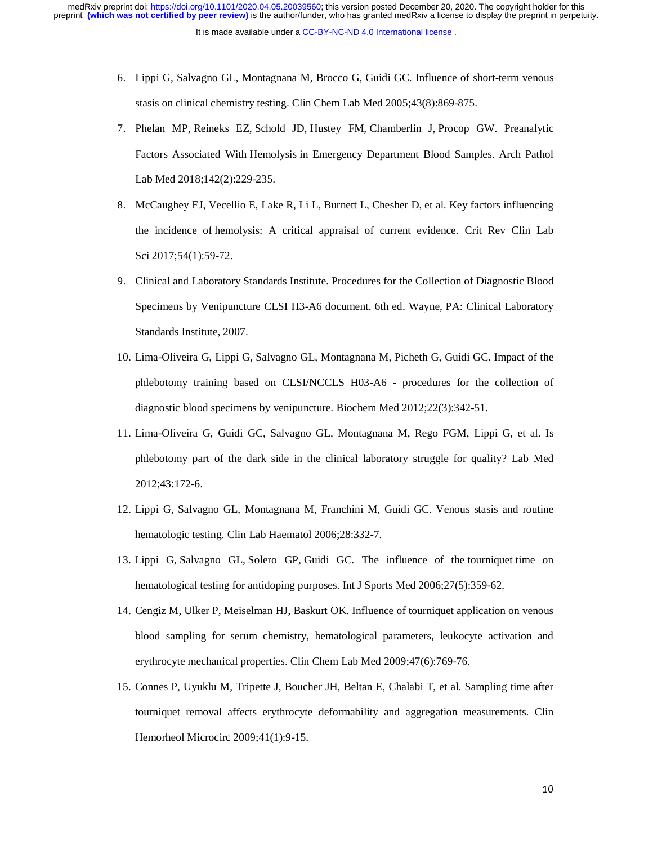- 6. Lippi G, Salvagno GL, Montagnana M, Brocco G, Guidi GC. Influence of short-term venous stasis on clinical chemistry testing. Clin Chem Lab Med 2005;43(8):869-875.
- 7. Phelan MP, Reineks EZ, Schold JD, Hustey FM, Chamberlin J, Procop GW. Preanalytic Factors Associated With Hemolysis in Emergency Department Blood Samples. Arch Pathol Lab Med 2018;142(2):229-235.
- 8. McCaughey EJ, Vecellio E, Lake R, Li L, Burnett L, Chesher D, et al. Key factors influencing the incidence of hemolysis: A critical appraisal of current evidence. Crit Rev Clin Lab Sci 2017;54(1):59-72.
- 9. Clinical and Laboratory Standards Institute. Procedures for the Collection of Diagnostic Blood Specimens by Venipuncture CLSI H3-A6 document. 6th ed. Wayne, PA: Clinical Laboratory Standards Institute, 2007.
- 10. Lima-Oliveira G, Lippi G, Salvagno GL, Montagnana M, Picheth G, Guidi GC. Impact of the phlebotomy training based on CLSI/NCCLS H03-A6 - procedures for the collection of diagnostic blood specimens by venipuncture. Biochem Med 2012;22(3):342-51.
- 11. Lima-Oliveira G, Guidi GC, Salvagno GL, Montagnana M, Rego FGM, Lippi G, et al. Is phlebotomy part of the dark side in the clinical laboratory struggle for quality? Lab Med 2012;43:172-6.
- 12. Lippi G, Salvagno GL, Montagnana M, Franchini M, Guidi GC. Venous stasis and routine hematologic testing. Clin Lab Haematol 2006;28:332-7.
- 13. Lippi G, Salvagno GL, Solero GP, Guidi GC. The influence of the tourniquet time on hematological testing for antidoping purposes. Int J Sports Med 2006;27(5):359-62.
- 14. Cengiz M, Ulker P, Meiselman HJ, Baskurt OK. Influence of tourniquet application on venous blood sampling for serum chemistry, hematological parameters, leukocyte activation and erythrocyte mechanical properties. Clin Chem Lab Med 2009;47(6):769-76.
- 15. Connes P, Uyuklu M, Tripette J, Boucher JH, Beltan E, Chalabi T, et al. Sampling time after tourniquet removal affects erythrocyte deformability and aggregation measurements. Clin Hemorheol Microcirc 2009;41(1):9-15.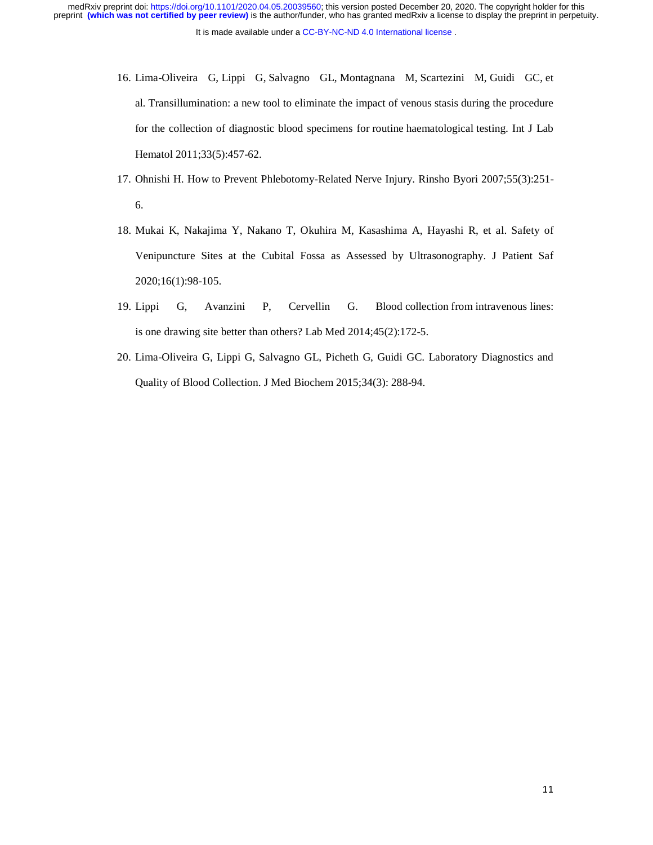It is made available under a CC-BY-NC-ND 4.0 International license. preprint **(which was not certified by peer review)** is the author/funder, who has granted medRxiv a license to display the preprint in perpetuity. medRxiv preprint doi: [https://doi.org/10.1101/2020.04.05.20039560;](https://doi.org/10.1101/2020.04.05.20039560) this version posted December 20, 2020. The copyright holder for this

- 16. Lima-Oliveira G, Lippi G, Salvagno GL, Montagnana M, Scartezini M, Guidi GC, et al. Transillumination: a new tool to eliminate the impact of venous stasis during the procedure for the collection of diagnostic blood specimens for routine haematological testing. Int J Lab Hematol 2011;33(5):457-62.
- 17. Ohnishi H. How to Prevent Phlebotomy-Related Nerve Injury. Rinsho Byori 2007;55(3):251- 6.
- 18. Mukai K, Nakajima Y, Nakano T, Okuhira M, Kasashima A, Hayashi R, et al. Safety of Venipuncture Sites at the Cubital Fossa as Assessed by Ultrasonography. J Patient Saf 2020;16(1):98-105.
- 19. Lippi G, Avanzini P, Cervellin G. Blood collection from intravenous lines: is one drawing site better than others? Lab Med 2014;45(2):172-5.
- 20. Lima-Oliveira G, Lippi G, Salvagno GL, Picheth G, Guidi GC. Laboratory Diagnostics and Quality of Blood Collection. J Med Biochem 2015;34(3): 288-94.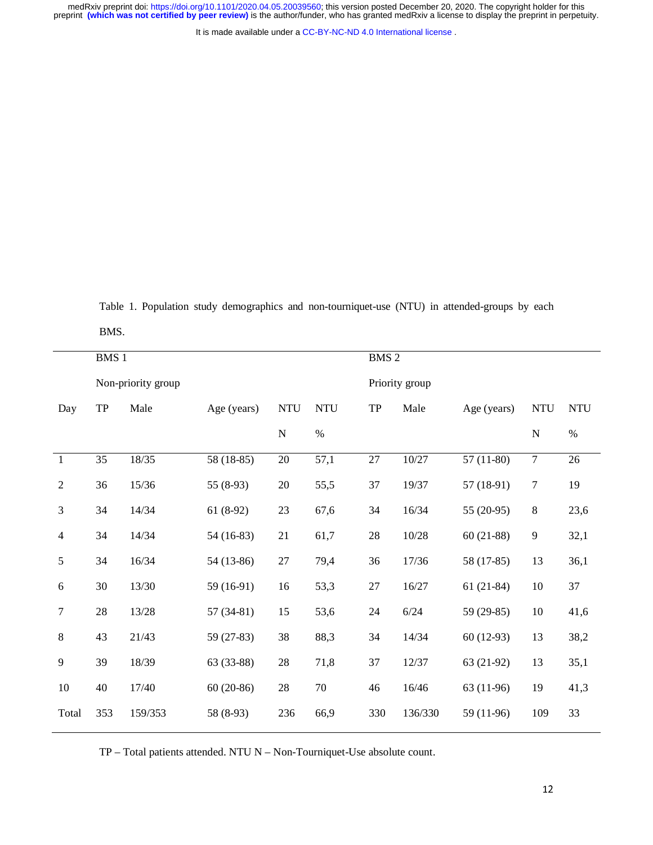It is made available under a [CC-BY-NC-ND 4.0 International license](http://creativecommons.org/licenses/by-nc-nd/4.0/) .

Table 1. Population study demographics and non-tourniquet-use (NTU) in attended-groups by each

BMS.

|                  | BMS 1              |         |             |            |                |        | BMS <sub>2</sub> |             |                |            |  |
|------------------|--------------------|---------|-------------|------------|----------------|--------|------------------|-------------|----------------|------------|--|
|                  | Non-priority group |         |             |            | Priority group |        |                  |             |                |            |  |
| Day              | ${\rm TP}$         | Male    | Age (years) | <b>NTU</b> | <b>NTU</b>     | TP     | Male             | Age (years) | <b>NTU</b>     | <b>NTU</b> |  |
|                  |                    |         |             | ${\bf N}$  | $\%$           |        |                  |             | ${\bf N}$      | $\%$       |  |
| $\mathbf{1}$     | 35                 | 18/35   | 58 (18-85)  | 20         | 57,1           | $27\,$ | 10/27            | $57(11-80)$ | $\overline{7}$ | 26         |  |
| $\mathfrak{2}$   | 36                 | 15/36   | 55 $(8-93)$ | $20\,$     | 55,5           | 37     | 19/37            | 57 (18-91)  | $\tau$         | 19         |  |
| 3                | 34                 | 14/34   | $61(8-92)$  | 23         | 67,6           | 34     | 16/34            | $55(20-95)$ | 8              | 23,6       |  |
| $\overline{4}$   | 34                 | 14/34   | $54(16-83)$ | 21         | 61,7           | $28\,$ | 10/28            | $60(21-88)$ | 9              | 32,1       |  |
| 5                | 34                 | 16/34   | 54 (13-86)  | $27\,$     | 79,4           | 36     | 17/36            | 58 (17-85)  | 13             | 36,1       |  |
| 6                | 30                 | 13/30   | 59 (16-91)  | 16         | 53,3           | $27\,$ | 16/27            | $61(21-84)$ | 10             | 37         |  |
| $\boldsymbol{7}$ | $28\,$             | 13/28   | $57(34-81)$ | 15         | 53,6           | 24     | 6/24             | 59 (29-85)  | 10             | 41,6       |  |
| 8                | 43                 | 21/43   | 59 (27-83)  | 38         | 88,3           | 34     | 14/34            | $60(12-93)$ | 13             | 38,2       |  |
| 9                | 39                 | 18/39   | 63 (33-88)  | $28\,$     | 71,8           | 37     | 12/37            | 63 (21-92)  | 13             | 35,1       |  |
| $10\,$           | $40\,$             | 17/40   | $60(20-86)$ | $28\,$     | $70\,$         | 46     | 16/46            | 63 (11-96)  | 19             | 41,3       |  |
| Total            | 353                | 159/353 | 58 (8-93)   | 236        | 66,9           | 330    | 136/330          | 59 (11-96)  | 109            | 33         |  |

TP – Total patients attended. NTU N – Non-Tourniquet-Use absolute count.